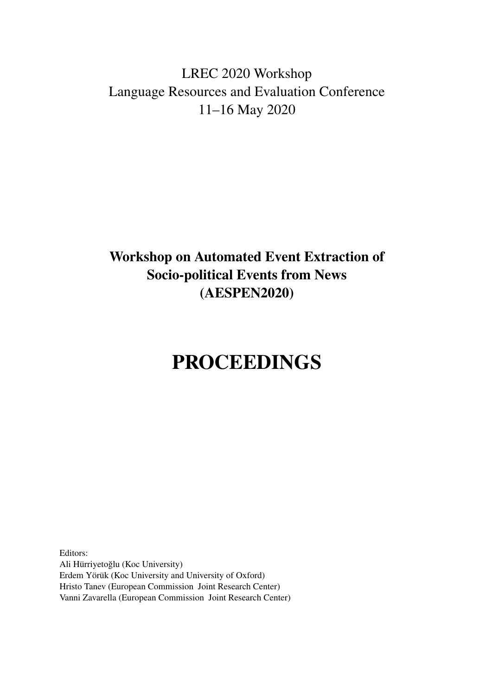# <span id="page-0-0"></span>LREC 2020 Workshop Language Resources and Evaluation Conference 11–16 May 2020

# Workshop on Automated Event Extraction of Socio-political Events from News (AESPEN2020)

# PROCEEDINGS

Editors: Ali Hürriyetoğlu (Koc University) Erdem Yörük (Koc University and University of Oxford) Hristo Tanev (European Commission Joint Research Center) Vanni Zavarella (European Commission Joint Research Center)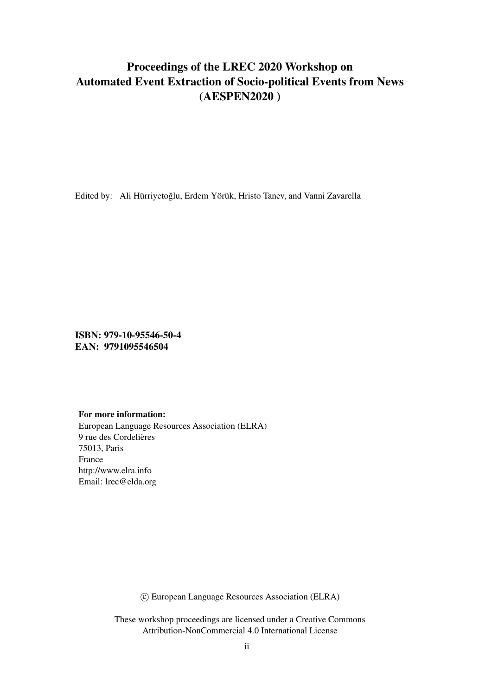## Proceedings of the LREC 2020 Workshop on Automated Event Extraction of Socio-political Events from News (AESPEN2020 )

Edited by: Ali Hürriyetoglu, Erdem Yörük, Hristo Tanev, and Vanni Zavarella ˘

ISBN: 979-10-95546-50-4 EAN: 9791095546504

#### For more information:

European Language Resources Association (ELRA) 9 rue des Cordelières 75013, Paris France http://www.elra.info Email: lrec@elda.org

c European Language Resources Association (ELRA)

These workshop proceedings are licensed under a Creative Commons Attribution-NonCommercial 4.0 International License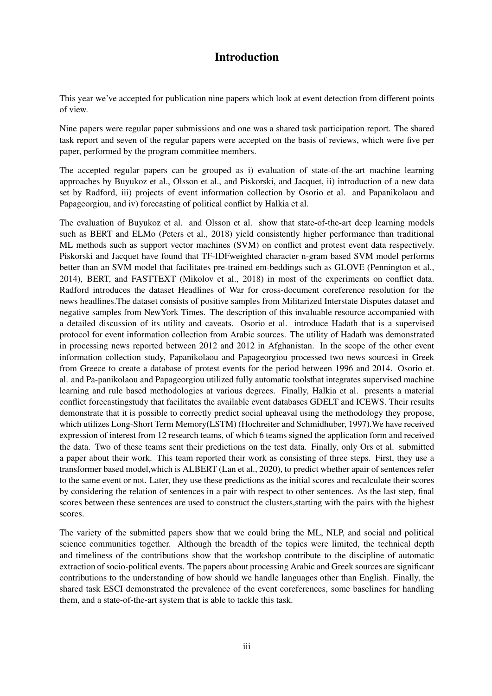## Introduction

This year we've accepted for publication nine papers which look at event detection from different points of view.

Nine papers were regular paper submissions and one was a shared task participation report. The shared task report and seven of the regular papers were accepted on the basis of reviews, which were five per paper, performed by the program committee members.

The accepted regular papers can be grouped as i) evaluation of state-of-the-art machine learning approaches by Buyukoz et al., Olsson et al., and Piskorski, and Jacquet, ii) introduction of a new data set by Radford, iii) projects of event information collection by Osorio et al. and Papanikolaou and Papageorgiou, and iv) forecasting of political conflict by Halkia et al.

The evaluation of Buyukoz et al. and Olsson et al. show that state-of-the-art deep learning models such as BERT and ELMo (Peters et al., 2018) yield consistently higher performance than traditional ML methods such as support vector machines (SVM) on conflict and protest event data respectively. Piskorski and Jacquet have found that TF-IDFweighted character n-gram based SVM model performs better than an SVM model that facilitates pre-trained em-beddings such as GLOVE (Pennington et al., 2014), BERT, and FASTTEXT (Mikolov et al., 2018) in most of the experiments on conflict data. Radford introduces the dataset Headlines of War for cross-document coreference resolution for the news headlines.The dataset consists of positive samples from Militarized Interstate Disputes dataset and negative samples from NewYork Times. The description of this invaluable resource accompanied with a detailed discussion of its utility and caveats. Osorio et al. introduce Hadath that is a supervised protocol for event information collection from Arabic sources. The utility of Hadath was demonstrated in processing news reported between 2012 and 2012 in Afghanistan. In the scope of the other event information collection study, Papanikolaou and Papageorgiou processed two news sourcesi in Greek from Greece to create a database of protest events for the period between 1996 and 2014. Osorio et. al. and Pa-panikolaou and Papageorgiou utilized fully automatic toolsthat integrates supervised machine learning and rule based methodologies at various degrees. Finally, Halkia et al. presents a material conflict forecastingstudy that facilitates the available event databases GDELT and ICEWS. Their results demonstrate that it is possible to correctly predict social upheaval using the methodology they propose, which utilizes Long-Short Term Memory(LSTM) (Hochreiter and Schmidhuber, 1997).We have received expression of interest from 12 research teams, of which 6 teams signed the application form and received the data. Two of these teams sent their predictions on the test data. Finally, only Ors et al. submitted a paper about their work. This team reported their work as consisting of three steps. First, they use a transformer based model,which is ALBERT (Lan et al., 2020), to predict whether apair of sentences refer to the same event or not. Later, they use these predictions as the initial scores and recalculate their scores by considering the relation of sentences in a pair with respect to other sentences. As the last step, final scores between these sentences are used to construct the clusters,starting with the pairs with the highest scores.

The variety of the submitted papers show that we could bring the ML, NLP, and social and political science communities together. Although the breadth of the topics were limited, the technical depth and timeliness of the contributions show that the workshop contribute to the discipline of automatic extraction of socio-political events. The papers about processing Arabic and Greek sources are significant contributions to the understanding of how should we handle languages other than English. Finally, the shared task ESCI demonstrated the prevalence of the event coreferences, some baselines for handling them, and a state-of-the-art system that is able to tackle this task.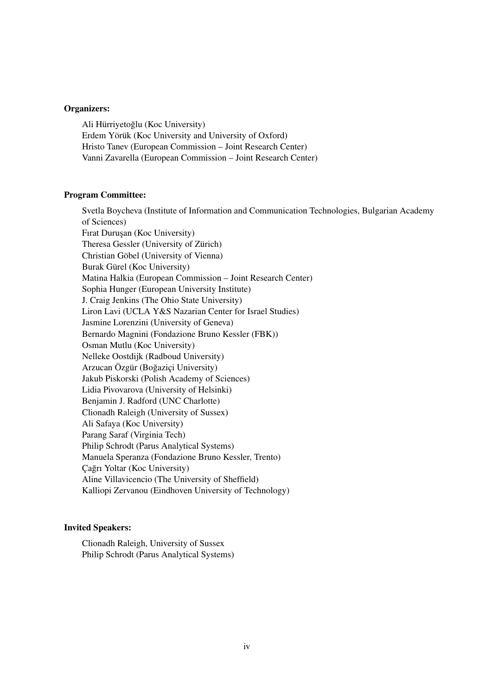#### Organizers:

Ali Hürriyetoglu (Koc University) ˘ Erdem Yörük (Koc University and University of Oxford) Hristo Tanev (European Commission – Joint Research Center) Vanni Zavarella (European Commission – Joint Research Center)

#### Program Committee:

Svetla Boycheva (Institute of Information and Communication Technologies, Bulgarian Academy of Sciences) Fırat Duruşan (Koc University) Theresa Gessler (University of Zürich) Christian Göbel (University of Vienna) Burak Gürel (Koc University) Matina Halkia (European Commission – Joint Research Center) Sophia Hunger (European University Institute) J. Craig Jenkins (The Ohio State University) Liron Lavi (UCLA Y&S Nazarian Center for Israel Studies) Jasmine Lorenzini (University of Geneva) Bernardo Magnini (Fondazione Bruno Kessler (FBK)) Osman Mutlu (Koc University) Nelleke Oostdijk (Radboud University) Arzucan Özgür (Bogaziçi University) ˘ Jakub Piskorski (Polish Academy of Sciences) Lidia Pivovarova (University of Helsinki) Benjamin J. Radford (UNC Charlotte) Clionadh Raleigh (University of Sussex) Ali Safaya (Koc University) Parang Saraf (Virginia Tech) Philip Schrodt (Parus Analytical Systems) Manuela Speranza (Fondazione Bruno Kessler, Trento) Cağrı Yoltar (Koc University) Aline Villavicencio (The University of Sheffield) Kalliopi Zervanou (Eindhoven University of Technology)

#### Invited Speakers:

Clionadh Raleigh, University of Sussex Philip Schrodt (Parus Analytical Systems)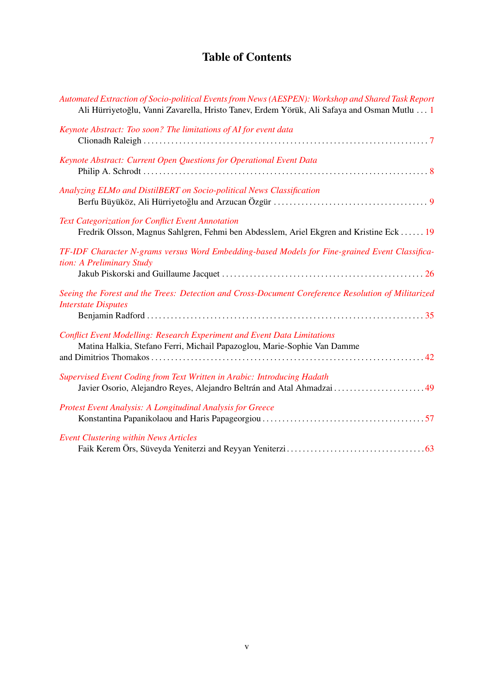## Table of Contents

| Automated Extraction of Socio-political Events from News (AESPEN): Workshop and Shared Task Report<br>Ali Hürriyetoğlu, Vanni Zavarella, Hristo Tanev, Erdem Yörük, Ali Safaya and Osman Mutlu  1 |
|---------------------------------------------------------------------------------------------------------------------------------------------------------------------------------------------------|
| Keynote Abstract: Too soon? The limitations of AI for event data                                                                                                                                  |
| Keynote Abstract: Current Open Questions for Operational Event Data                                                                                                                               |
| Analyzing ELMo and DistilBERT on Socio-political News Classification                                                                                                                              |
| Text Categorization for Conflict Event Annotation<br>Fredrik Olsson, Magnus Sahlgren, Fehmi ben Abdesslem, Ariel Ekgren and Kristine Eck  19                                                      |
| TF-IDF Character N-grams versus Word Embedding-based Models for Fine-grained Event Classifica-<br>tion: A Preliminary Study                                                                       |
| Seeing the Forest and the Trees: Detection and Cross-Document Coreference Resolution of Militarized<br><b>Interstate Disputes</b>                                                                 |
| <b>Conflict Event Modelling: Research Experiment and Event Data Limitations</b><br>Matina Halkia, Stefano Ferri, Michail Papazoglou, Marie-Sophie Van Damme                                       |
| Supervised Event Coding from Text Written in Arabic: Introducing Hadath<br>Javier Osorio, Alejandro Reyes, Alejandro Beltrán and Atal Ahmadzai  49                                                |
| Protest Event Analysis: A Longitudinal Analysis for Greece                                                                                                                                        |
| <b>Event Clustering within News Articles</b>                                                                                                                                                      |